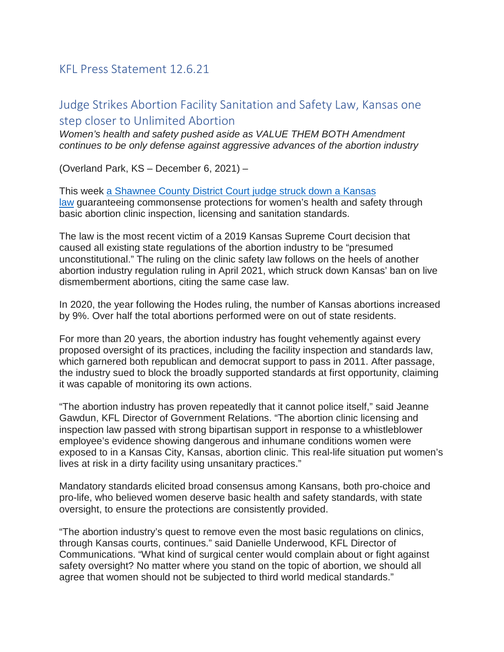## KFL Press Statement 12.6.21

## Judge Strikes Abortion Facility Sanitation and Safety Law, Kansas one step closer to Unlimited Abortion

*Women's health and safety pushed aside as VALUE THEM BOTH Amendment continues to be only defense against aggressive advances of the abortion industry*

(Overland Park, KS – December 6, 2021) –

This week [a Shawnee County District Court judge struck down a Kansas](https://bit.ly/31yTav5)  [law](https://bit.ly/31yTav5) guaranteeing commonsense protections for women's health and safety through basic abortion clinic inspection, licensing and sanitation standards.

The law is the most recent victim of a 2019 Kansas Supreme Court decision that caused all existing state regulations of the abortion industry to be "presumed unconstitutional." The ruling on the clinic safety law follows on the heels of another abortion industry regulation ruling in April 2021, which struck down Kansas' ban on live dismemberment abortions, citing the same case law.

In 2020, the year following the Hodes ruling, the number of Kansas abortions increased by 9%. Over half the total abortions performed were on out of state residents.

For more than 20 years, the abortion industry has fought vehemently against every proposed oversight of its practices, including the facility inspection and standards law, which garnered both republican and democrat support to pass in 2011. After passage, the industry sued to block the broadly supported standards at first opportunity, claiming it was capable of monitoring its own actions.

"The abortion industry has proven repeatedly that it cannot police itself," said Jeanne Gawdun, KFL Director of Government Relations. "The abortion clinic licensing and inspection law passed with strong bipartisan support in response to a whistleblower employee's evidence showing dangerous and inhumane conditions women were exposed to in a Kansas City, Kansas, abortion clinic. This real-life situation put women's lives at risk in a dirty facility using unsanitary practices."

Mandatory standards elicited broad consensus among Kansans, both pro-choice and pro-life, who believed women deserve basic health and safety standards, with state oversight, to ensure the protections are consistently provided.

"The abortion industry's quest to remove even the most basic regulations on clinics, through Kansas courts, continues." said Danielle Underwood, KFL Director of Communications. "What kind of surgical center would complain about or fight against safety oversight? No matter where you stand on the topic of abortion, we should all agree that women should not be subjected to third world medical standards."